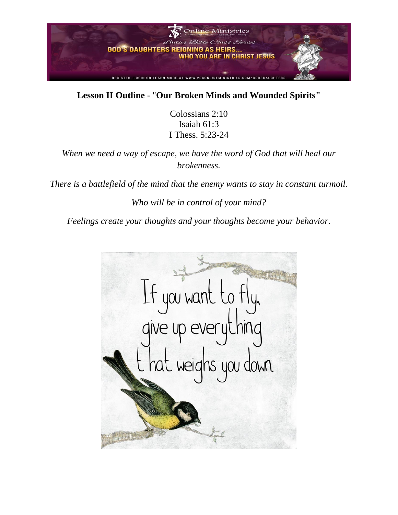

#### **Lesson II Outline** - "**Our Broken Minds and Wounded Spirits"**

Colossians 2:10 Isaiah 61:3 I Thess. 5:23-24

*When we need a way of escape, we have the word of God that will heal our brokenness.* 

*There is a battlefield of the mind that the enemy wants to stay in constant turmoil.*

*Who will be in control of your mind?* 

*Feelings create your thoughts and your thoughts become your behavior.*

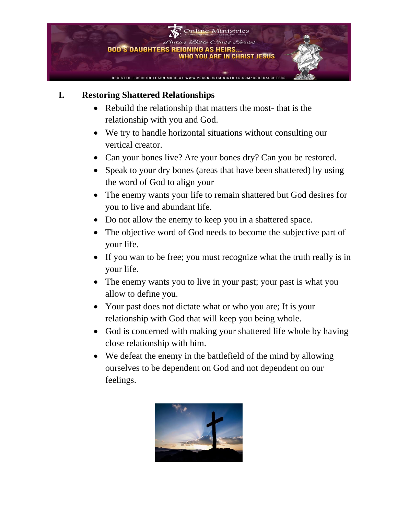

### **I. Restoring Shattered Relationships**

- Rebuild the relationship that matters the most- that is the relationship with you and God.
- We try to handle horizontal situations without consulting our vertical creator.
- Can your bones live? Are your bones dry? Can you be restored.
- Speak to your dry bones (areas that have been shattered) by using the word of God to align your
- The enemy wants your life to remain shattered but God desires for you to live and abundant life.
- Do not allow the enemy to keep you in a shattered space.
- The objective word of God needs to become the subjective part of your life.
- If you wan to be free; you must recognize what the truth really is in your life.
- The enemy wants you to live in your past; your past is what you allow to define you.
- Your past does not dictate what or who you are; It is your relationship with God that will keep you being whole.
- God is concerned with making your shattered life whole by having close relationship with him.
- We defeat the enemy in the battlefield of the mind by allowing ourselves to be dependent on God and not dependent on our feelings.

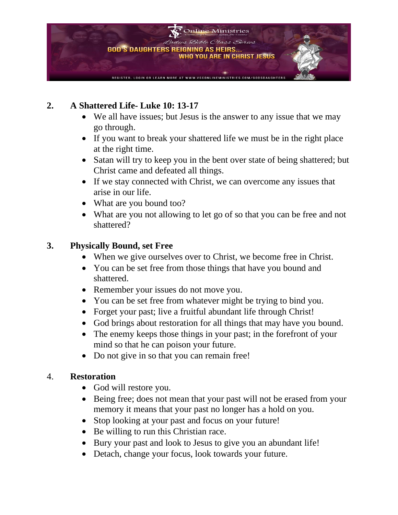

## **2. A Shattered Life- Luke 10: 13-17**

- We all have issues; but Jesus is the answer to any issue that we may go through.
- If you want to break your shattered life we must be in the right place at the right time.
- Satan will try to keep you in the bent over state of being shattered; but Christ came and defeated all things.
- If we stay connected with Christ, we can overcome any issues that arise in our life.
- What are you bound too?
- What are you not allowing to let go of so that you can be free and not shattered?

#### **3. Physically Bound, set Free**

- When we give ourselves over to Christ, we become free in Christ.
- You can be set free from those things that have you bound and shattered.
- Remember your issues do not move you.
- You can be set free from whatever might be trying to bind you.
- Forget your past; live a fruitful abundant life through Christ!
- God brings about restoration for all things that may have you bound.
- The enemy keeps those things in your past; in the forefront of your mind so that he can poison your future.
- Do not give in so that you can remain free!

#### 4. **Restoration**

- God will restore you.
- Being free; does not mean that your past will not be erased from your memory it means that your past no longer has a hold on you.
- Stop looking at your past and focus on your future!
- Be willing to run this Christian race.
- Bury your past and look to Jesus to give you an abundant life!
- Detach, change your focus, look towards your future.